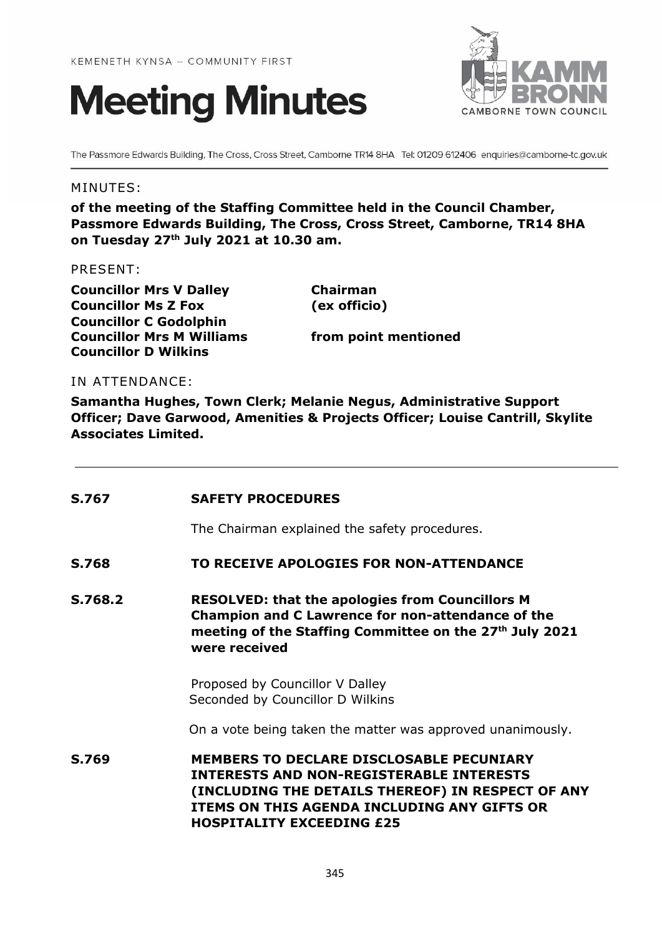



The Passmore Edwards Building, The Cross, Cross Street, Camborne TR14 8HA Tel: 01209 612406 enquiries@camborne-tc.gov.uk

### MINUTES:

**of the meeting of the Staffing Committee held in the Council Chamber, Passmore Edwards Building, The Cross, Cross Street, Camborne, TR14 8HA on Tuesday 27 th July 2021 at 10.30 am.**

#### PRESENT:

**Councillor Mrs V Dalley Chairman Councillor Ms Z Fox (ex officio) Councillor C Godolphin Councillor Mrs M Williams from point mentioned Councillor D Wilkins**

#### IN ATTENDANCE:

**Samantha Hughes, Town Clerk; Melanie Negus, Administrative Support Officer; Dave Garwood, Amenities & Projects Officer; Louise Cantrill, Skylite Associates Limited.**

| <b>S.767</b> | <b>SAFETY PROCEDURES</b>                                                                                                                                                                                                            |
|--------------|-------------------------------------------------------------------------------------------------------------------------------------------------------------------------------------------------------------------------------------|
|              | The Chairman explained the safety procedures.                                                                                                                                                                                       |
| S.768        | TO RECEIVE APOLOGIES FOR NON-ATTENDANCE                                                                                                                                                                                             |
| S.768.2      | <b>RESOLVED: that the apologies from Councillors M</b><br><b>Champion and C Lawrence for non-attendance of the</b><br>meeting of the Staffing Committee on the 27 <sup>th</sup> July 2021<br>were received                          |
|              | Proposed by Councillor V Dalley<br>Seconded by Councillor D Wilkins                                                                                                                                                                 |
|              | On a vote being taken the matter was approved unanimously.                                                                                                                                                                          |
| S.769        | <b>MEMBERS TO DECLARE DISCLOSABLE PECUNIARY</b><br>INTERESTS AND NON-REGISTERABLE INTERESTS<br>(INCLUDING THE DETAILS THEREOF) IN RESPECT OF ANY<br>ITEMS ON THIS AGENDA INCLUDING ANY GIFTS OR<br><b>HOSPITALITY EXCEEDING £25</b> |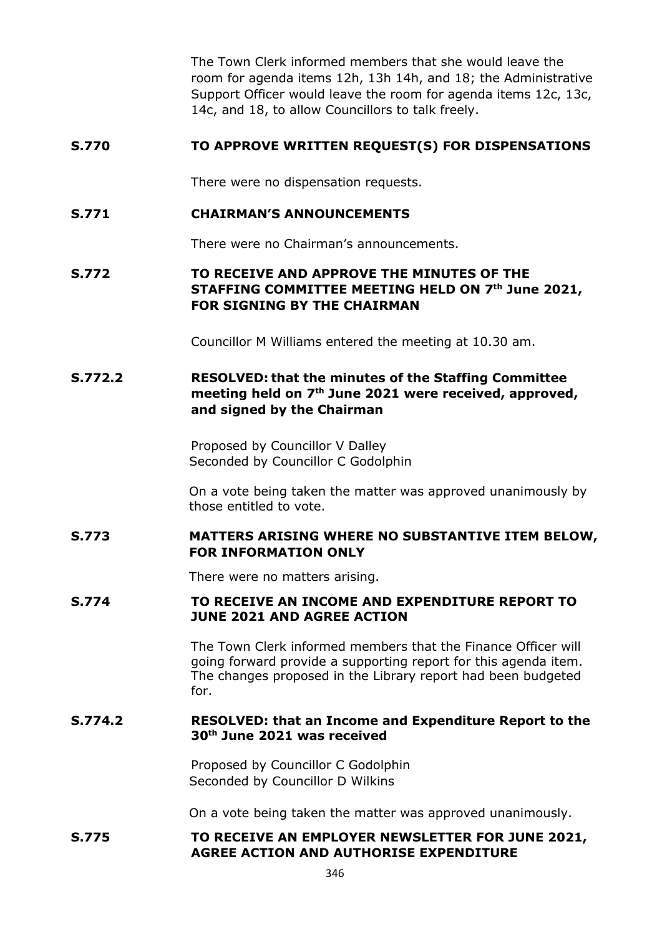The Town Clerk informed members that she would leave the room for agenda items 12h, 13h 14h, and 18; the Administrative Support Officer would leave the room for agenda items 12c, 13c, 14c, and 18, to allow Councillors to talk freely.

## **S.770 TO APPROVE WRITTEN REQUEST(S) FOR DISPENSATIONS**

There were no dispensation requests.

### **S.771 CHAIRMAN'S ANNOUNCEMENTS**

There were no Chairman's announcements.

# **S.772 TO RECEIVE AND APPROVE THE MINUTES OF THE STAFFING COMMITTEE MEETING HELD ON 7 th June 2021, FOR SIGNING BY THE CHAIRMAN**

Councillor M Williams entered the meeting at 10.30 am.

# **S.772.2 RESOLVED: that the minutes of the Staffing Committee meeting held on 7 th June 2021 were received, approved, and signed by the Chairman**

Proposed by Councillor V Dalley Seconded by Councillor C Godolphin

On a vote being taken the matter was approved unanimously by those entitled to vote.

# **S.773 MATTERS ARISING WHERE NO SUBSTANTIVE ITEM BELOW, FOR INFORMATION ONLY**

There were no matters arising.

#### **S.774 TO RECEIVE AN INCOME AND EXPENDITURE REPORT TO JUNE 2021 AND AGREE ACTION**

The Town Clerk informed members that the Finance Officer will going forward provide a supporting report for this agenda item. The changes proposed in the Library report had been budgeted for.

#### **S.774.2 RESOLVED: that an Income and Expenditure Report to the 30th June 2021 was received**

Proposed by Councillor C Godolphin Seconded by Councillor D Wilkins

On a vote being taken the matter was approved unanimously.

# **S.775 TO RECEIVE AN EMPLOYER NEWSLETTER FOR JUNE 2021, AGREE ACTION AND AUTHORISE EXPENDITURE**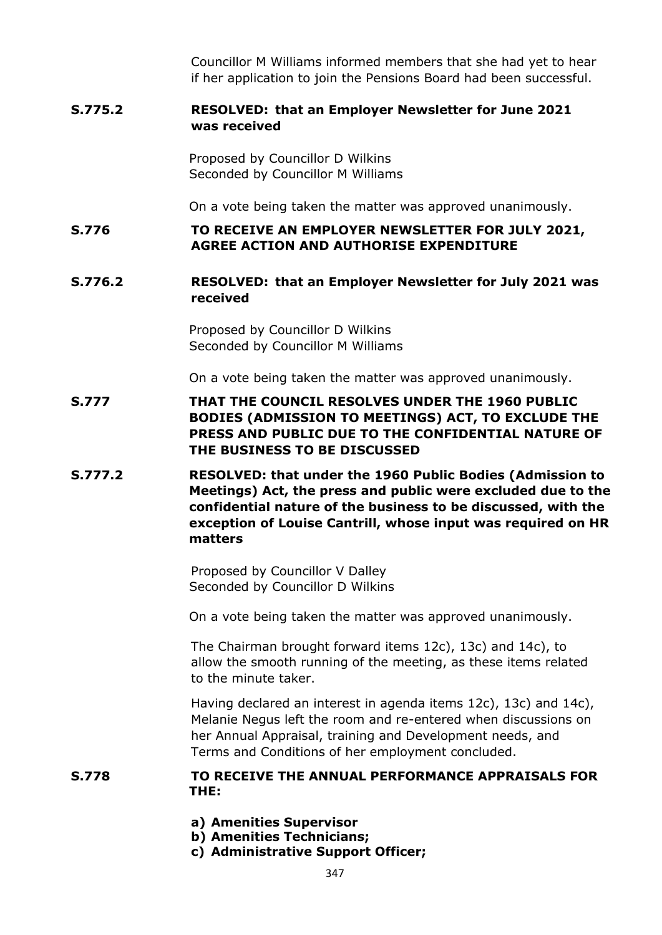Councillor M Williams informed members that she had yet to hear if her application to join the Pensions Board had been successful.

## **S.775.2 RESOLVED: that an Employer Newsletter for June 2021 was received**

Proposed by Councillor D Wilkins Seconded by Councillor M Williams

On a vote being taken the matter was approved unanimously.

**S.776 TO RECEIVE AN EMPLOYER NEWSLETTER FOR JULY 2021, AGREE ACTION AND AUTHORISE EXPENDITURE**

## **S.776.2 RESOLVED: that an Employer Newsletter for July 2021 was received**

Proposed by Councillor D Wilkins Seconded by Councillor M Williams

On a vote being taken the matter was approved unanimously.

- **S.777 THAT THE COUNCIL RESOLVES UNDER THE 1960 PUBLIC BODIES (ADMISSION TO MEETINGS) ACT, TO EXCLUDE THE PRESS AND PUBLIC DUE TO THE CONFIDENTIAL NATURE OF THE BUSINESS TO BE DISCUSSED**
- **S.777.2 RESOLVED: that under the 1960 Public Bodies (Admission to Meetings) Act, the press and public were excluded due to the confidential nature of the business to be discussed, with the exception of Louise Cantrill, whose input was required on HR matters**

Proposed by Councillor V Dalley Seconded by Councillor D Wilkins

On a vote being taken the matter was approved unanimously.

The Chairman brought forward items 12c), 13c) and 14c), to allow the smooth running of the meeting, as these items related to the minute taker.

Having declared an interest in agenda items 12c), 13c) and 14c), Melanie Negus left the room and re-entered when discussions on her Annual Appraisal, training and Development needs, and Terms and Conditions of her employment concluded.

#### **S.778 TO RECEIVE THE ANNUAL PERFORMANCE APPRAISALS FOR THE:**

- **a) Amenities Supervisor**
- **b) Amenities Technicians;**
- **c) Administrative Support Officer;**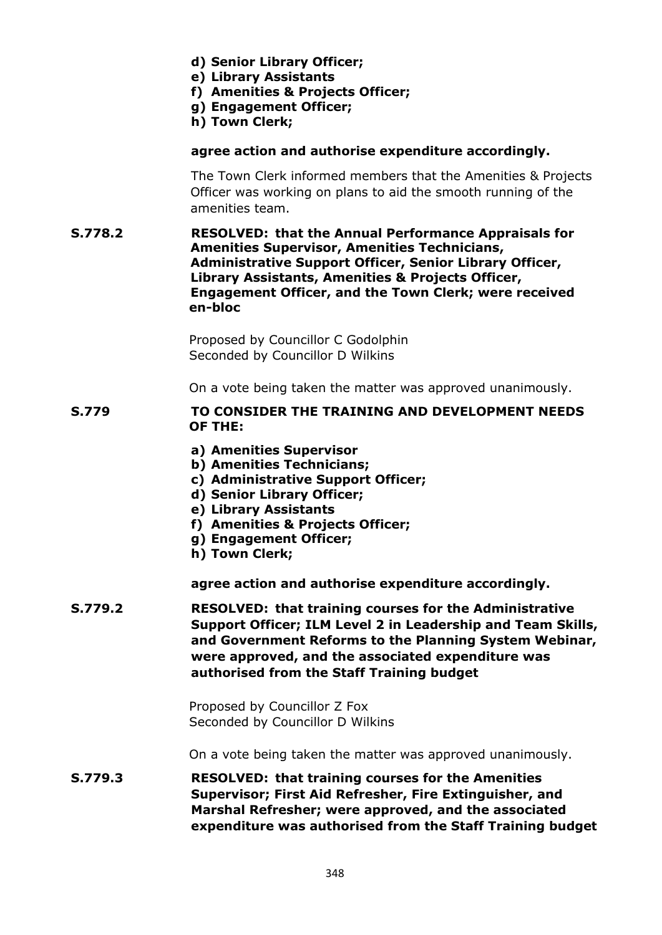- **d) Senior Library Officer;**
- **e) Library Assistants**
- **f) Amenities & Projects Officer;**
- **g) Engagement Officer;**
- **h) Town Clerk;**

## **agree action and authorise expenditure accordingly.**

The Town Clerk informed members that the Amenities & Projects Officer was working on plans to aid the smooth running of the amenities team.

**S.778.2 RESOLVED: that the Annual Performance Appraisals for Amenities Supervisor, Amenities Technicians, Administrative Support Officer, Senior Library Officer, Library Assistants, Amenities & Projects Officer, Engagement Officer, and the Town Clerk; were received en-bloc**

> Proposed by Councillor C Godolphin Seconded by Councillor D Wilkins

On a vote being taken the matter was approved unanimously.

## **S.779 TO CONSIDER THE TRAINING AND DEVELOPMENT NEEDS OF THE:**

- **a) Amenities Supervisor**
- **b) Amenities Technicians;**
- **c) Administrative Support Officer;**
- **d) Senior Library Officer;**
- **e) Library Assistants**
- **f) Amenities & Projects Officer;**
- **g) Engagement Officer;**
- **h) Town Clerk;**

**agree action and authorise expenditure accordingly.**

**S.779.2 RESOLVED: that training courses for the Administrative Support Officer; ILM Level 2 in Leadership and Team Skills, and Government Reforms to the Planning System Webinar, were approved, and the associated expenditure was authorised from the Staff Training budget**

> Proposed by Councillor Z Fox Seconded by Councillor D Wilkins

On a vote being taken the matter was approved unanimously.

**S.779.3 RESOLVED: that training courses for the Amenities Supervisor; First Aid Refresher, Fire Extinguisher, and Marshal Refresher; were approved, and the associated expenditure was authorised from the Staff Training budget**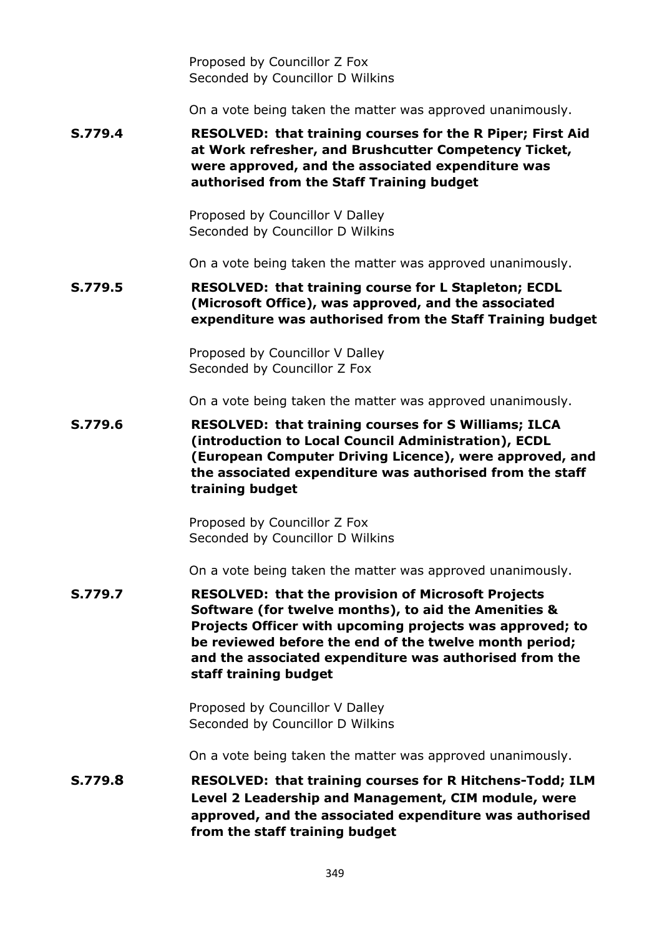Proposed by Councillor Z Fox Seconded by Councillor D Wilkins

On a vote being taken the matter was approved unanimously.

**S.779.4 RESOLVED: that training courses for the R Piper; First Aid at Work refresher, and Brushcutter Competency Ticket, were approved, and the associated expenditure was authorised from the Staff Training budget**

> Proposed by Councillor V Dalley Seconded by Councillor D Wilkins

On a vote being taken the matter was approved unanimously.

**S.779.5 RESOLVED: that training course for L Stapleton; ECDL (Microsoft Office), was approved, and the associated expenditure was authorised from the Staff Training budget**

> Proposed by Councillor V Dalley Seconded by Councillor Z Fox

On a vote being taken the matter was approved unanimously.

**S.779.6 RESOLVED: that training courses for S Williams; ILCA (introduction to Local Council Administration), ECDL (European Computer Driving Licence), were approved, and the associated expenditure was authorised from the staff training budget**

> Proposed by Councillor Z Fox Seconded by Councillor D Wilkins

On a vote being taken the matter was approved unanimously.

**S.779.7 RESOLVED: that the provision of Microsoft Projects Software (for twelve months), to aid the Amenities & Projects Officer with upcoming projects was approved; to be reviewed before the end of the twelve month period; and the associated expenditure was authorised from the staff training budget**

> Proposed by Councillor V Dalley Seconded by Councillor D Wilkins

On a vote being taken the matter was approved unanimously.

**S.779.8 RESOLVED: that training courses for R Hitchens-Todd; ILM Level 2 Leadership and Management, CIM module, were approved, and the associated expenditure was authorised from the staff training budget**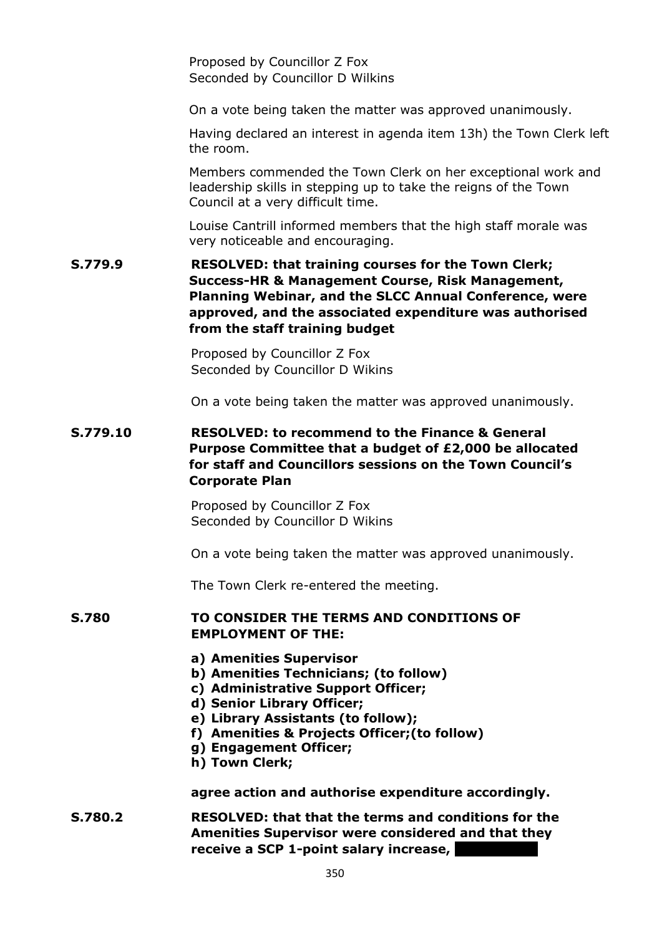Proposed by Councillor Z Fox Seconded by Councillor D Wilkins

On a vote being taken the matter was approved unanimously.

Having declared an interest in agenda item 13h) the Town Clerk left the room.

Members commended the Town Clerk on her exceptional work and leadership skills in stepping up to take the reigns of the Town Council at a very difficult time.

Louise Cantrill informed members that the high staff morale was very noticeable and encouraging.

# **S.779.9 RESOLVED: that training courses for the Town Clerk; Success-HR & Management Course, Risk Management, Planning Webinar, and the SLCC Annual Conference, were approved, and the associated expenditure was authorised from the staff training budget**

Proposed by Councillor Z Fox Seconded by Councillor D Wikins

On a vote being taken the matter was approved unanimously.

## **S.779.10 RESOLVED: to recommend to the Finance & General Purpose Committee that a budget of £2,000 be allocated for staff and Councillors sessions on the Town Council's Corporate Plan**

Proposed by Councillor Z Fox Seconded by Councillor D Wikins

On a vote being taken the matter was approved unanimously.

The Town Clerk re-entered the meeting.

#### **S.780 TO CONSIDER THE TERMS AND CONDITIONS OF EMPLOYMENT OF THE:**

- **a) Amenities Supervisor**
- **b) Amenities Technicians; (to follow)**
- **c) Administrative Support Officer;**
- **d) Senior Library Officer;**
- **e) Library Assistants (to follow);**
- **f) Amenities & Projects Officer;(to follow)**
- **g) Engagement Officer;**
- **h) Town Clerk;**

**agree action and authorise expenditure accordingly.**

**S.780.2 RESOLVED: that that the terms and conditions for the Amenities Supervisor were considered and that they receive a SCP 1-point salary increase, I**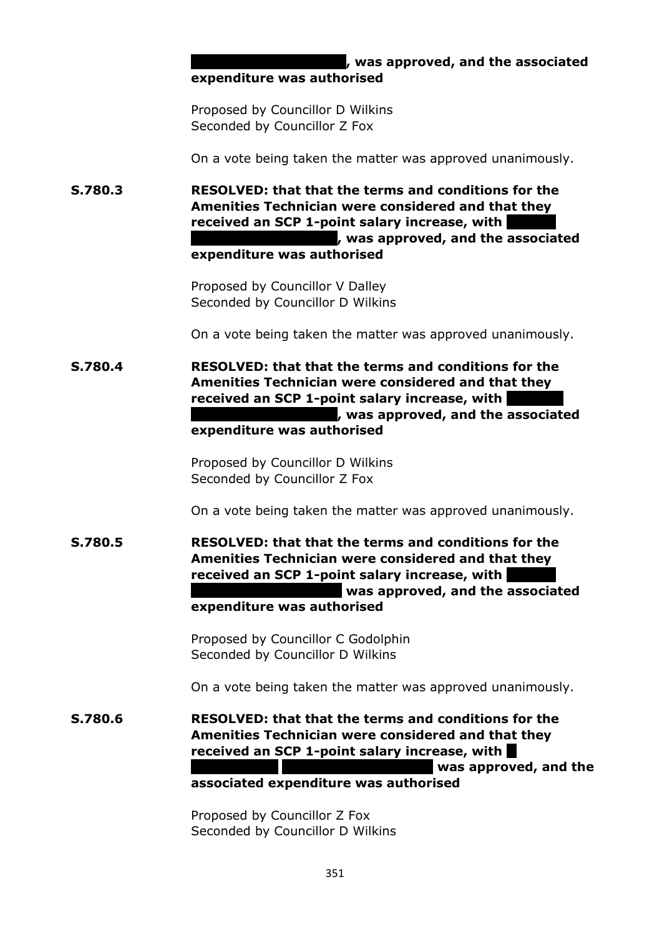*k* was approved, and the associated **expenditure was authorised**

Proposed by Councillor D Wilkins Seconded by Councillor Z Fox

On a vote being taken the matter was approved unanimously.

**S.780.3 RESOLVED: that that the terms and conditions for the Amenities Technician were considered and that they**  received an SCP 1-point salary increase, with **remunerated at SCP8, was approved, and the associated expenditure was authorised**

> Proposed by Councillor V Dalley Seconded by Councillor D Wilkins

On a vote being taken the matter was approved unanimously.

**S.780.4 RESOLVED: that that the terms and conditions for the Amenities Technician were considered and that they**  received an SCP 1-point salary increase, with **remunerated at SCP8, was approved, and the associated expenditure was authorised**

> Proposed by Councillor D Wilkins Seconded by Councillor Z Fox

On a vote being taken the matter was approved unanimously.

**S.780.5 RESOLVED: that that the terms and conditions for the Amenities Technician were considered and that they received an SCP 1-point salary increase, with** was approved, and the associated **expenditure was authorised**

> Proposed by Councillor C Godolphin Seconded by Councillor D Wilkins

On a vote being taken the matter was approved unanimously.

**S.780.6 RESOLVED: that that the terms and conditions for the Amenities Technician were considered and that they received an SCP 1-point salary increase, with D was approved, and the associated expenditure was authorised**

> Proposed by Councillor Z Fox Seconded by Councillor D Wilkins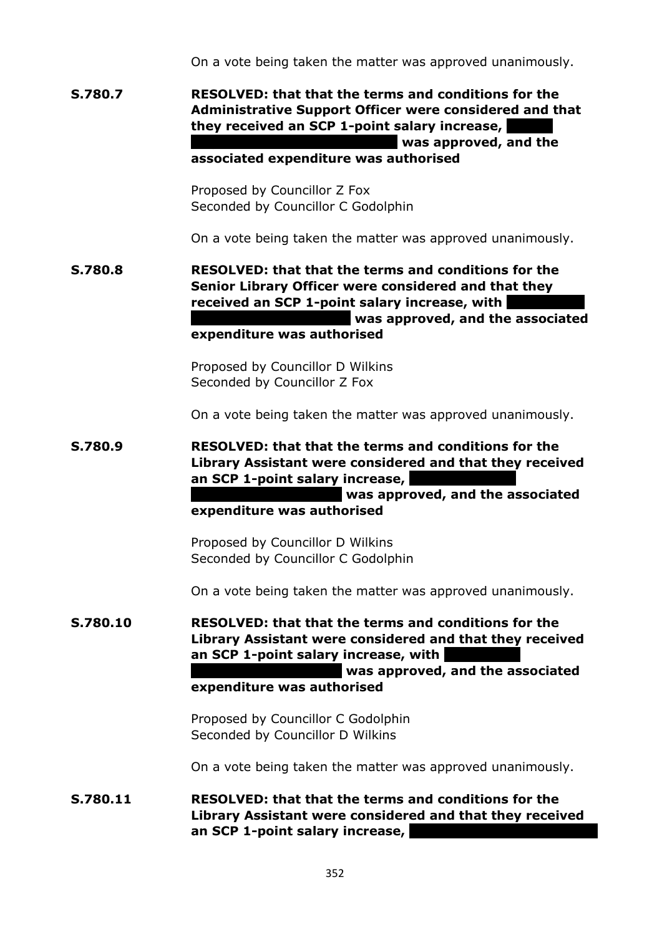On a vote being taken the matter was approved unanimously.

**S.780.7 RESOLVED: that that the terms and conditions for the Administrative Support Officer were considered and that they received an SCP 1-point salary increase, Negau a** Was approved, and the

# **associated expenditure was authorised**

Proposed by Councillor Z Fox Seconded by Councillor C Godolphin

On a vote being taken the matter was approved unanimously.

**S.780.8 RESOLVED: that that the terms and conditions for the Senior Library Officer were considered and that they**  received an SCP 1-point salary increase, with **random** was approved, and the associated **expenditure was authorised**

> Proposed by Councillor D Wilkins Seconded by Councillor Z Fox

On a vote being taken the matter was approved unanimously.

**S.780.9 RESOLVED: that that the terms and conditions for the Library Assistant were considered and that they received**  an SCP 1-point salary increase,

> **remunerated at SCP7, was approved, and the associated expenditure was authorised**

Proposed by Councillor D Wilkins Seconded by Councillor C Godolphin

On a vote being taken the matter was approved unanimously.

**S.780.10 RESOLVED: that that the terms and conditions for the Library Assistant were considered and that they received an SCP 1-point salary increase, with** 

> **random** was approved, and the associated **expenditure was authorised**

Proposed by Councillor C Godolphin Seconded by Councillor D Wilkins

On a vote being taken the matter was approved unanimously.

**S.780.11 RESOLVED: that that the terms and conditions for the Library Assistant were considered and that they received an SCP 1-point salary increase,**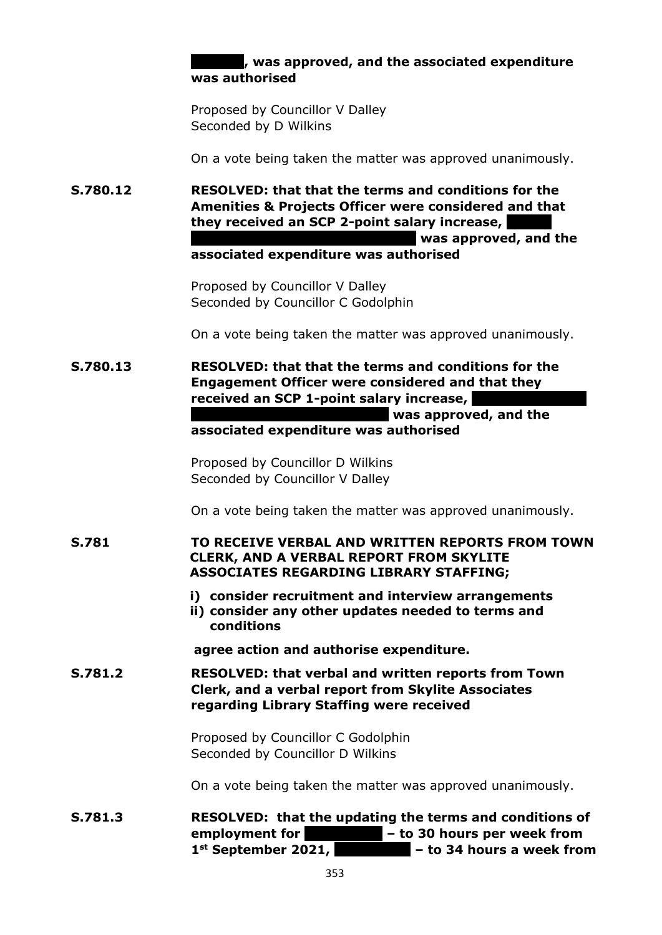## **at SCP7, was approved, and the associated expenditure was authorised**

Proposed by Councillor V Dalley Seconded by D Wilkins

On a vote being taken the matter was approved unanimously.

**S.780.12 RESOLVED: that that the terms and conditions for the Amenities & Projects Officer were considered and that**  they received an SCP 2-point salary increase, **Gasar was approved, and the** 

**associated expenditure was authorised**

Proposed by Councillor V Dalley Seconded by Councillor C Godolphin

On a vote being taken the matter was approved unanimously.

**S.780.13 RESOLVED: that that the terms and conditions for the Engagement Officer were considered and that they received an SCP 1-point salary increase,** 

**The Was approved, and the** 

**associated expenditure was authorised**

Proposed by Councillor D Wilkins Seconded by Councillor V Dalley

On a vote being taken the matter was approved unanimously.

**S.781 TO RECEIVE VERBAL AND WRITTEN REPORTS FROM TOWN CLERK, AND A VERBAL REPORT FROM SKYLITE ASSOCIATES REGARDING LIBRARY STAFFING;**

- **i) consider recruitment and interview arrangements**
- **ii) consider any other updates needed to terms and conditions**

**agree action and authorise expenditure.**

**S.781.2 RESOLVED: that verbal and written reports from Town Clerk, and a verbal report from Skylite Associates regarding Library Staffing were received**

> Proposed by Councillor C Godolphin Seconded by Councillor D Wilkins

On a vote being taken the matter was approved unanimously.

**S.781.3 RESOLVED: that the updating the terms and conditions of employment for**  $\blacksquare$  **– to 30 hours per week from** 1<sup>st</sup> September 2021, **Exercise 2018** – to 34 hours a week from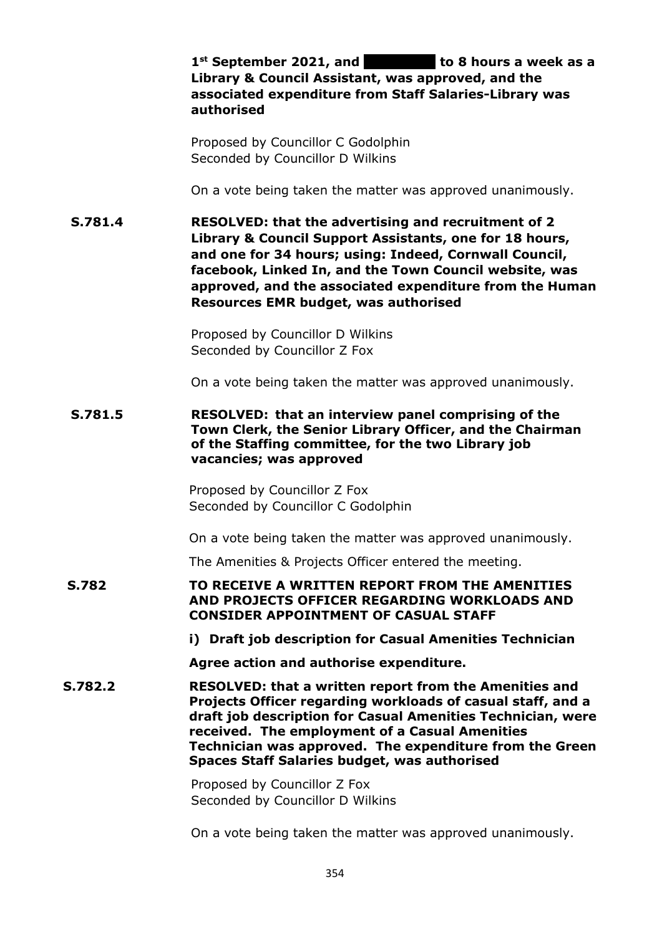|              | $1st$ September 2021, and $\blacksquare$ to 8 hours a week as a<br>Library & Council Assistant, was approved, and the<br>associated expenditure from Staff Salaries-Library was<br>authorised                                                                                                                                                                   |
|--------------|-----------------------------------------------------------------------------------------------------------------------------------------------------------------------------------------------------------------------------------------------------------------------------------------------------------------------------------------------------------------|
|              | Proposed by Councillor C Godolphin<br>Seconded by Councillor D Wilkins                                                                                                                                                                                                                                                                                          |
|              | On a vote being taken the matter was approved unanimously.                                                                                                                                                                                                                                                                                                      |
| S.781.4      | RESOLVED: that the advertising and recruitment of 2<br>Library & Council Support Assistants, one for 18 hours,<br>and one for 34 hours; using: Indeed, Cornwall Council,<br>facebook, Linked In, and the Town Council website, was<br>approved, and the associated expenditure from the Human<br><b>Resources EMR budget, was authorised</b>                    |
|              | Proposed by Councillor D Wilkins<br>Seconded by Councillor Z Fox                                                                                                                                                                                                                                                                                                |
|              | On a vote being taken the matter was approved unanimously.                                                                                                                                                                                                                                                                                                      |
| S.781.5      | RESOLVED: that an interview panel comprising of the<br>Town Clerk, the Senior Library Officer, and the Chairman<br>of the Staffing committee, for the two Library job<br>vacancies; was approved                                                                                                                                                                |
|              | Proposed by Councillor Z Fox<br>Seconded by Councillor C Godolphin                                                                                                                                                                                                                                                                                              |
|              | On a vote being taken the matter was approved unanimously.                                                                                                                                                                                                                                                                                                      |
|              | The Amenities & Projects Officer entered the meeting.                                                                                                                                                                                                                                                                                                           |
| <b>S.782</b> | TO RECEIVE A WRITTEN REPORT FROM THE AMENITIES<br>AND PROJECTS OFFICER REGARDING WORKLOADS AND<br><b>CONSIDER APPOINTMENT OF CASUAL STAFF</b>                                                                                                                                                                                                                   |
|              | i) Draft job description for Casual Amenities Technician                                                                                                                                                                                                                                                                                                        |
|              | Agree action and authorise expenditure.                                                                                                                                                                                                                                                                                                                         |
| S.782.2      | <b>RESOLVED: that a written report from the Amenities and</b><br>Projects Officer regarding workloads of casual staff, and a<br>draft job description for Casual Amenities Technician, were<br>received. The employment of a Casual Amenities<br>Technician was approved. The expenditure from the Green<br><b>Spaces Staff Salaries budget, was authorised</b> |
|              | Proposed by Councillor Z Fox<br>Seconded by Councillor D Wilkins                                                                                                                                                                                                                                                                                                |
|              |                                                                                                                                                                                                                                                                                                                                                                 |

On a vote being taken the matter was approved unanimously.